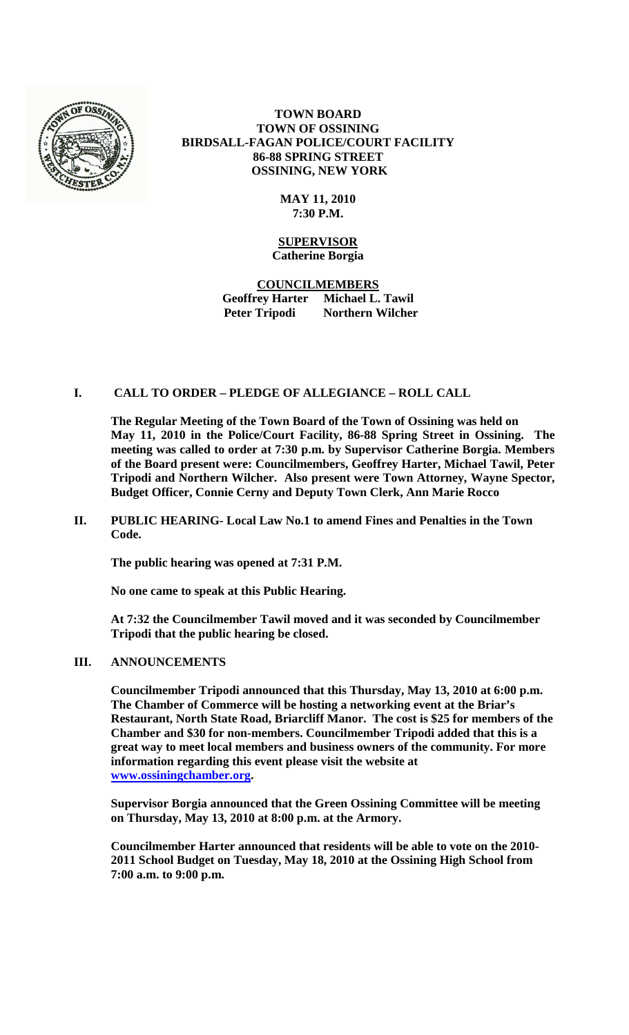

**TOWN BOARD TOWN OF OSSINING BIRDSALL-FAGAN POLICE/COURT FACILITY 86-88 SPRING STREET OSSINING, NEW YORK**

## **MAY 11, 2010 7:30 P.M.**

## **SUPERVISOR Catherine Borgia**

**COUNCILMEMBERS Geoffrey Harter Michael L. Tawil Peter Tripodi Northern Wilcher**

## **I. CALL TO ORDER – PLEDGE OF ALLEGIANCE – ROLL CALL**

**The Regular Meeting of the Town Board of the Town of Ossining was held on May 11, 2010 in the Police/Court Facility, 86-88 Spring Street in Ossining. The meeting was called to order at 7:30 p.m. by Supervisor Catherine Borgia. Members of the Board present were: Councilmembers, Geoffrey Harter, Michael Tawil, Peter Tripodi and Northern Wilcher. Also present were Town Attorney, Wayne Spector, Budget Officer, Connie Cerny and Deputy Town Clerk, Ann Marie Rocco**

**II. PUBLIC HEARING- Local Law No.1 to amend Fines and Penalties in the Town Code.**

**The public hearing was opened at 7:31 P.M.** 

**No one came to speak at this Public Hearing.**

**At 7:32 the Councilmember Tawil moved and it was seconded by Councilmember Tripodi that the public hearing be closed.** 

#### **III. ANNOUNCEMENTS**

**Councilmember Tripodi announced that this Thursday, May 13, 2010 at 6:00 p.m. The Chamber of Commerce will be hosting a networking event at the Briar's Restaurant, North State Road, Briarcliff Manor. The cost is \$25 for members of the Chamber and \$30 for non-members. Councilmember Tripodi added that this is a great way to meet local members and business owners of the community. For more information regarding this event please visit the website at [www.ossiningchamber.org.](http://www.ossiningchamber.org/)**

**Supervisor Borgia announced that the Green Ossining Committee will be meeting on Thursday, May 13, 2010 at 8:00 p.m. at the Armory.** 

**Councilmember Harter announced that residents will be able to vote on the 2010- 2011 School Budget on Tuesday, May 18, 2010 at the Ossining High School from 7:00 a.m. to 9:00 p.m.**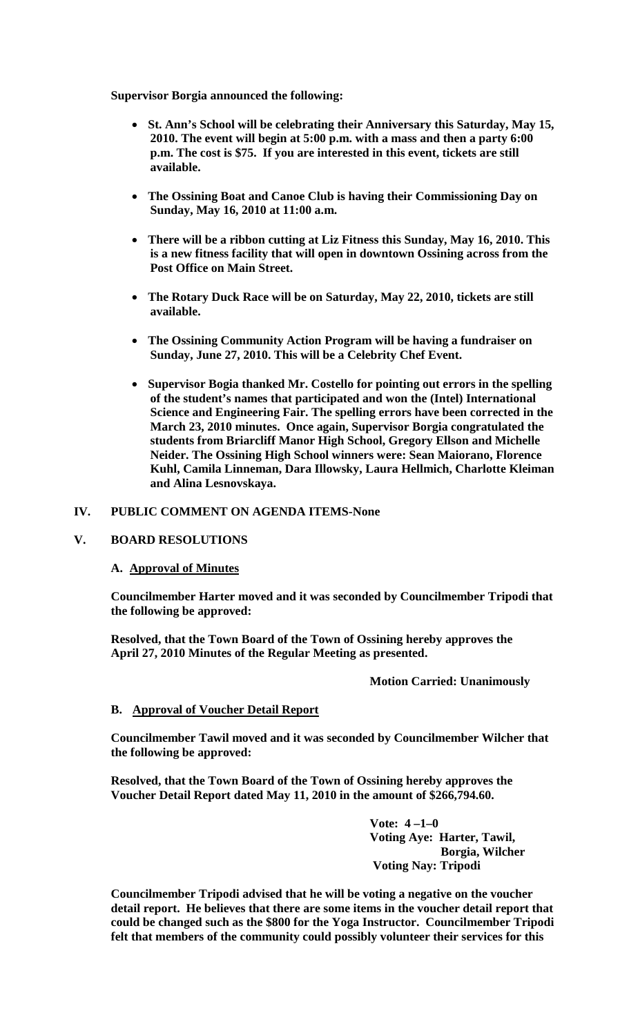**Supervisor Borgia announced the following:**

- **St. Ann's School will be celebrating their Anniversary this Saturday, May 15, 2010. The event will begin at 5:00 p.m. with a mass and then a party 6:00 p.m. The cost is \$75. If you are interested in this event, tickets are still available.**
- **The Ossining Boat and Canoe Club is having their Commissioning Day on Sunday, May 16, 2010 at 11:00 a.m.**
- **There will be a ribbon cutting at Liz Fitness this Sunday, May 16, 2010. This is a new fitness facility that will open in downtown Ossining across from the Post Office on Main Street.**
- **The Rotary Duck Race will be on Saturday, May 22, 2010, tickets are still available.**
- **The Ossining Community Action Program will be having a fundraiser on Sunday, June 27, 2010. This will be a Celebrity Chef Event.**
- **Supervisor Bogia thanked Mr. Costello for pointing out errors in the spelling of the student's names that participated and won the (Intel) International Science and Engineering Fair. The spelling errors have been corrected in the March 23, 2010 minutes. Once again, Supervisor Borgia congratulated the students from Briarcliff Manor High School, Gregory Ellson and Michelle Neider. The Ossining High School winners were: Sean Maiorano, Florence Kuhl, Camila Linneman, Dara Illowsky, Laura Hellmich, Charlotte Kleiman and Alina Lesnovskaya.**

### **IV. PUBLIC COMMENT ON AGENDA ITEMS-None**

### **V. BOARD RESOLUTIONS**

#### **A. Approval of Minutes**

**Councilmember Harter moved and it was seconded by Councilmember Tripodi that the following be approved:**

**Resolved, that the Town Board of the Town of Ossining hereby approves the April 27, 2010 Minutes of the Regular Meeting as presented.**

#### **Motion Carried: Unanimously**

## **B. Approval of Voucher Detail Report**

**Councilmember Tawil moved and it was seconded by Councilmember Wilcher that the following be approved:**

**Resolved, that the Town Board of the Town of Ossining hereby approves the Voucher Detail Report dated May 11, 2010 in the amount of \$266,794.60.**

> **Vote: 4 –1–0 Voting Aye: Harter, Tawil, Borgia, Wilcher Voting Nay: Tripodi**

**Councilmember Tripodi advised that he will be voting a negative on the voucher detail report. He believes that there are some items in the voucher detail report that could be changed such as the \$800 for the Yoga Instructor. Councilmember Tripodi felt that members of the community could possibly volunteer their services for this**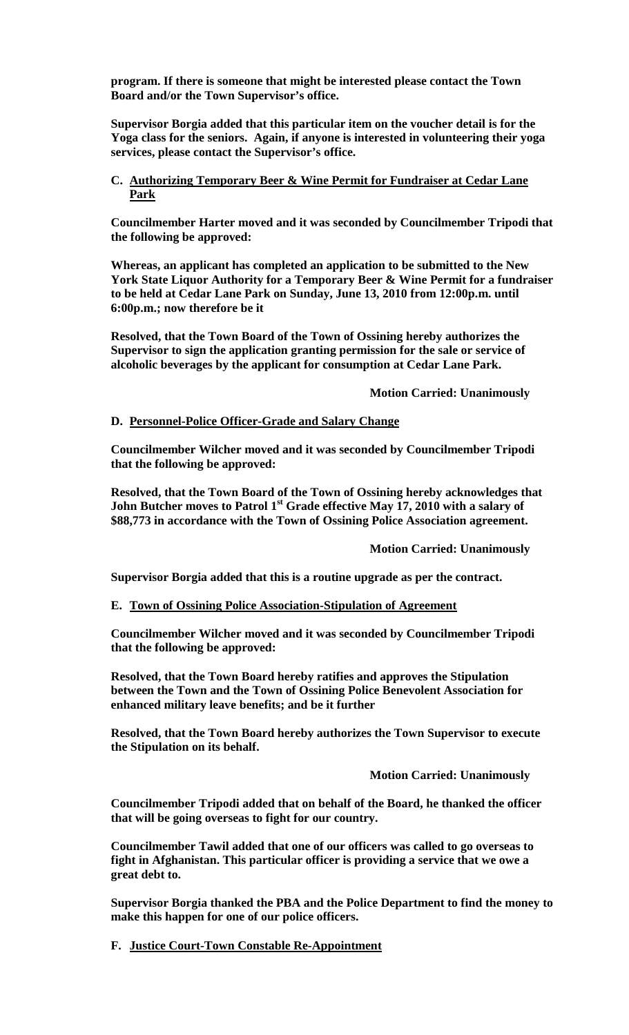**program. If there is someone that might be interested please contact the Town Board and/or the Town Supervisor's office.** 

**Supervisor Borgia added that this particular item on the voucher detail is for the Yoga class for the seniors. Again, if anyone is interested in volunteering their yoga services, please contact the Supervisor's office.**

# **C. Authorizing Temporary Beer & Wine Permit for Fundraiser at Cedar Lane Park**

**Councilmember Harter moved and it was seconded by Councilmember Tripodi that the following be approved:**

**Whereas, an applicant has completed an application to be submitted to the New York State Liquor Authority for a Temporary Beer & Wine Permit for a fundraiser to be held at Cedar Lane Park on Sunday, June 13, 2010 from 12:00p.m. until 6:00p.m.; now therefore be it**

**Resolved, that the Town Board of the Town of Ossining hereby authorizes the Supervisor to sign the application granting permission for the sale or service of alcoholic beverages by the applicant for consumption at Cedar Lane Park.**

**Motion Carried: Unanimously**

## **D. Personnel-Police Officer-Grade and Salary Change**

**Councilmember Wilcher moved and it was seconded by Councilmember Tripodi that the following be approved:**

**Resolved, that the Town Board of the Town of Ossining hereby acknowledges that John Butcher moves to Patrol 1st Grade effective May 17, 2010 with a salary of \$88,773 in accordance with the Town of Ossining Police Association agreement.**

**Motion Carried: Unanimously**

**Supervisor Borgia added that this is a routine upgrade as per the contract.**

#### **E. Town of Ossining Police Association-Stipulation of Agreement**

**Councilmember Wilcher moved and it was seconded by Councilmember Tripodi that the following be approved:**

**Resolved, that the Town Board hereby ratifies and approves the Stipulation between the Town and the Town of Ossining Police Benevolent Association for enhanced military leave benefits; and be it further**

**Resolved, that the Town Board hereby authorizes the Town Supervisor to execute the Stipulation on its behalf.** 

**Motion Carried: Unanimously**

**Councilmember Tripodi added that on behalf of the Board, he thanked the officer that will be going overseas to fight for our country.** 

**Councilmember Tawil added that one of our officers was called to go overseas to fight in Afghanistan. This particular officer is providing a service that we owe a great debt to.**

**Supervisor Borgia thanked the PBA and the Police Department to find the money to make this happen for one of our police officers.**

**F. Justice Court-Town Constable Re-Appointment**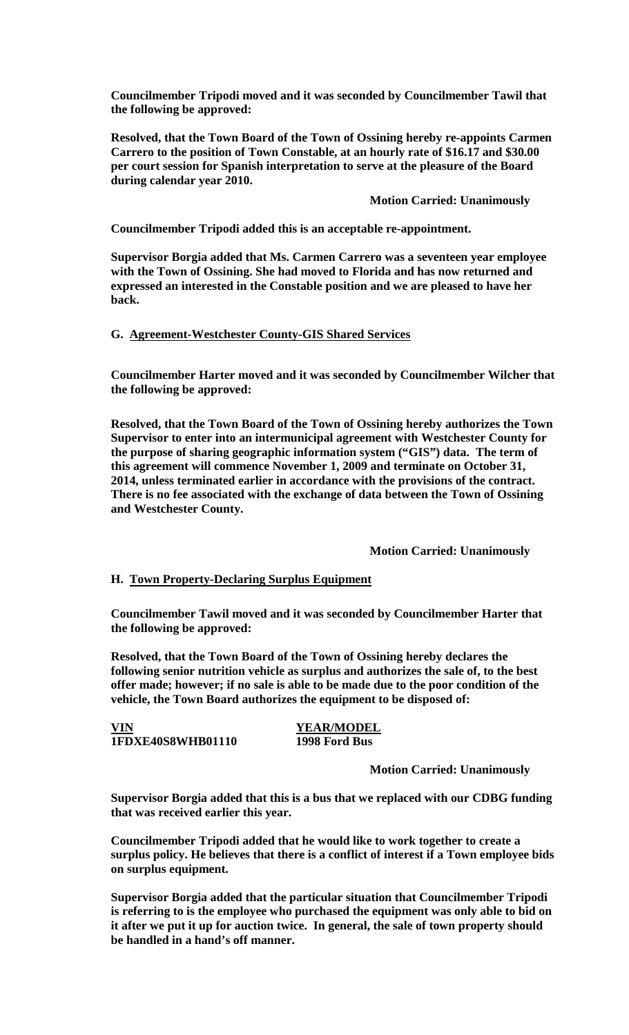**Councilmember Tripodi moved and it was seconded by Councilmember Tawil that the following be approved:**

**Resolved, that the Town Board of the Town of Ossining hereby re-appoints Carmen Carrero to the position of Town Constable, at an hourly rate of \$16.17 and \$30.00 per court session for Spanish interpretation to serve at the pleasure of the Board during calendar year 2010.**

**Motion Carried: Unanimously**

**Councilmember Tripodi added this is an acceptable re-appointment.** 

**Supervisor Borgia added that Ms. Carmen Carrero was a seventeen year employee with the Town of Ossining. She had moved to Florida and has now returned and expressed an interested in the Constable position and we are pleased to have her back.**

## **G. Agreement-Westchester County-GIS Shared Services**

**Councilmember Harter moved and it was seconded by Councilmember Wilcher that the following be approved:**

**Resolved, that the Town Board of the Town of Ossining hereby authorizes the Town Supervisor to enter into an intermunicipal agreement with Westchester County for the purpose of sharing geographic information system ("GIS") data. The term of this agreement will commence November 1, 2009 and terminate on October 31, 2014, unless terminated earlier in accordance with the provisions of the contract. There is no fee associated with the exchange of data between the Town of Ossining and Westchester County.**

## **Motion Carried: Unanimously**

## **H. Town Property-Declaring Surplus Equipment**

**Councilmember Tawil moved and it was seconded by Councilmember Harter that the following be approved:**

**Resolved, that the Town Board of the Town of Ossining hereby declares the following senior nutrition vehicle as surplus and authorizes the sale of, to the best offer made; however; if no sale is able to be made due to the poor condition of the vehicle, the Town Board authorizes the equipment to be disposed of:**

**VIN YEAR/MODEL 1FDXE40S8WHB01110 1998 Ford Bus**

#### **Motion Carried: Unanimously**

**Supervisor Borgia added that this is a bus that we replaced with our CDBG funding that was received earlier this year.** 

**Councilmember Tripodi added that he would like to work together to create a surplus policy. He believes that there is a conflict of interest if a Town employee bids on surplus equipment.** 

**Supervisor Borgia added that the particular situation that Councilmember Tripodi is referring to is the employee who purchased the equipment was only able to bid on it after we put it up for auction twice. In general, the sale of town property should be handled in a hand's off manner.**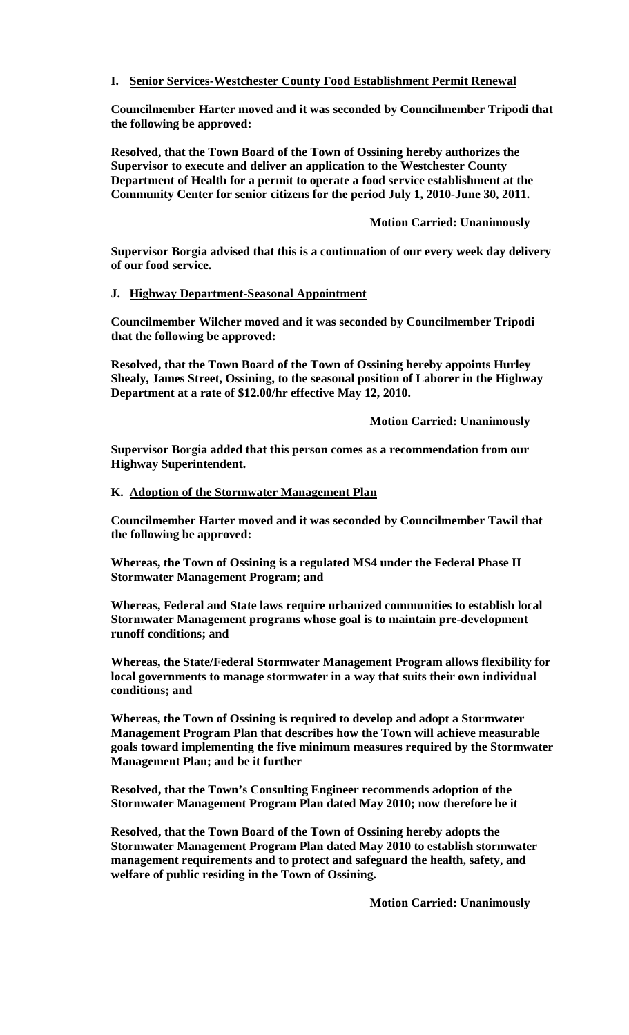## **I. Senior Services-Westchester County Food Establishment Permit Renewal**

**Councilmember Harter moved and it was seconded by Councilmember Tripodi that the following be approved:**

**Resolved, that the Town Board of the Town of Ossining hereby authorizes the Supervisor to execute and deliver an application to the Westchester County Department of Health for a permit to operate a food service establishment at the Community Center for senior citizens for the period July 1, 2010-June 30, 2011.**

## **Motion Carried: Unanimously**

**Supervisor Borgia advised that this is a continuation of our every week day delivery of our food service.**

#### **J. Highway Department-Seasonal Appointment**

**Councilmember Wilcher moved and it was seconded by Councilmember Tripodi that the following be approved:**

**Resolved, that the Town Board of the Town of Ossining hereby appoints Hurley Shealy, James Street, Ossining, to the seasonal position of Laborer in the Highway Department at a rate of \$12.00/hr effective May 12, 2010.**

**Motion Carried: Unanimously**

**Supervisor Borgia added that this person comes as a recommendation from our Highway Superintendent.**

#### **K. Adoption of the Stormwater Management Plan**

**Councilmember Harter moved and it was seconded by Councilmember Tawil that the following be approved:**

**Whereas, the Town of Ossining is a regulated MS4 under the Federal Phase II Stormwater Management Program; and**

**Whereas, Federal and State laws require urbanized communities to establish local Stormwater Management programs whose goal is to maintain pre-development runoff conditions; and**

**Whereas, the State/Federal Stormwater Management Program allows flexibility for local governments to manage stormwater in a way that suits their own individual conditions; and**

**Whereas, the Town of Ossining is required to develop and adopt a Stormwater Management Program Plan that describes how the Town will achieve measurable goals toward implementing the five minimum measures required by the Stormwater Management Plan; and be it further**

**Resolved, that the Town's Consulting Engineer recommends adoption of the Stormwater Management Program Plan dated May 2010; now therefore be it**

**Resolved, that the Town Board of the Town of Ossining hereby adopts the Stormwater Management Program Plan dated May 2010 to establish stormwater management requirements and to protect and safeguard the health, safety, and welfare of public residing in the Town of Ossining.** 

**Motion Carried: Unanimously**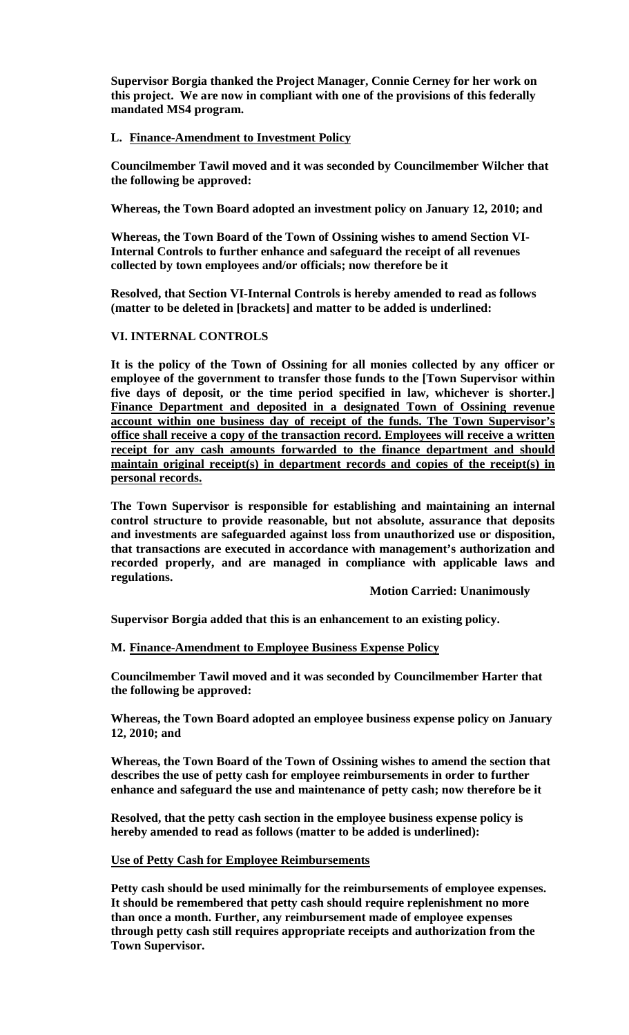**Supervisor Borgia thanked the Project Manager, Connie Cerney for her work on this project. We are now in compliant with one of the provisions of this federally mandated MS4 program.**

## **L. Finance-Amendment to Investment Policy**

**Councilmember Tawil moved and it was seconded by Councilmember Wilcher that the following be approved:**

**Whereas, the Town Board adopted an investment policy on January 12, 2010; and**

**Whereas, the Town Board of the Town of Ossining wishes to amend Section VI-Internal Controls to further enhance and safeguard the receipt of all revenues collected by town employees and/or officials; now therefore be it** 

**Resolved, that Section VI-Internal Controls is hereby amended to read as follows (matter to be deleted in [brackets] and matter to be added is underlined:**

## **VI. INTERNAL CONTROLS**

**It is the policy of the Town of Ossining for all monies collected by any officer or employee of the government to transfer those funds to the [Town Supervisor within five days of deposit, or the time period specified in law, whichever is shorter.] Finance Department and deposited in a designated Town of Ossining revenue account within one business day of receipt of the funds. The Town Supervisor's office shall receive a copy of the transaction record. Employees will receive a written receipt for any cash amounts forwarded to the finance department and should maintain original receipt(s) in department records and copies of the receipt(s) in personal records.** 

**The Town Supervisor is responsible for establishing and maintaining an internal control structure to provide reasonable, but not absolute, assurance that deposits and investments are safeguarded against loss from unauthorized use or disposition, that transactions are executed in accordance with management's authorization and recorded properly, and are managed in compliance with applicable laws and regulations.**

#### **Motion Carried: Unanimously**

**Supervisor Borgia added that this is an enhancement to an existing policy.**

#### **M. Finance-Amendment to Employee Business Expense Policy**

**Councilmember Tawil moved and it was seconded by Councilmember Harter that the following be approved:**

**Whereas, the Town Board adopted an employee business expense policy on January 12, 2010; and**

**Whereas, the Town Board of the Town of Ossining wishes to amend the section that describes the use of petty cash for employee reimbursements in order to further enhance and safeguard the use and maintenance of petty cash; now therefore be it** 

**Resolved, that the petty cash section in the employee business expense policy is hereby amended to read as follows (matter to be added is underlined):**

## **Use of Petty Cash for Employee Reimbursements**

**Petty cash should be used minimally for the reimbursements of employee expenses. It should be remembered that petty cash should require replenishment no more than once a month. Further, any reimbursement made of employee expenses through petty cash still requires appropriate receipts and authorization from the Town Supervisor.**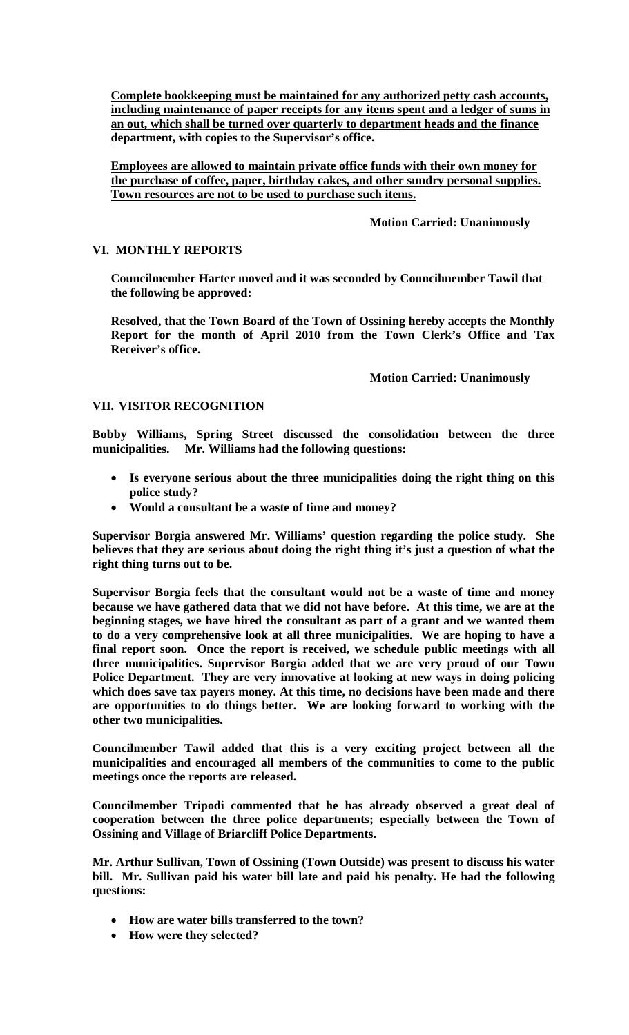**Complete bookkeeping must be maintained for any authorized petty cash accounts, including maintenance of paper receipts for any items spent and a ledger of sums in an out, which shall be turned over quarterly to department heads and the finance department, with copies to the Supervisor's office.**

**Employees are allowed to maintain private office funds with their own money for the purchase of coffee, paper, birthday cakes, and other sundry personal supplies. Town resources are not to be used to purchase such items.**

# **Motion Carried: Unanimously**

# **VI. MONTHLY REPORTS**

**Councilmember Harter moved and it was seconded by Councilmember Tawil that the following be approved:**

**Resolved, that the Town Board of the Town of Ossining hereby accepts the Monthly Report for the month of April 2010 from the Town Clerk's Office and Tax Receiver's office.**

## **Motion Carried: Unanimously**

# **VII. VISITOR RECOGNITION**

**Bobby Williams, Spring Street discussed the consolidation between the three municipalities. Mr. Williams had the following questions:**

- **Is everyone serious about the three municipalities doing the right thing on this police study?**
- **Would a consultant be a waste of time and money?**

**Supervisor Borgia answered Mr. Williams' question regarding the police study. She believes that they are serious about doing the right thing it's just a question of what the right thing turns out to be.** 

**Supervisor Borgia feels that the consultant would not be a waste of time and money because we have gathered data that we did not have before. At this time, we are at the beginning stages, we have hired the consultant as part of a grant and we wanted them to do a very comprehensive look at all three municipalities. We are hoping to have a final report soon. Once the report is received, we schedule public meetings with all three municipalities. Supervisor Borgia added that we are very proud of our Town Police Department. They are very innovative at looking at new ways in doing policing which does save tax payers money. At this time, no decisions have been made and there are opportunities to do things better. We are looking forward to working with the other two municipalities.** 

**Councilmember Tawil added that this is a very exciting project between all the municipalities and encouraged all members of the communities to come to the public meetings once the reports are released.**

**Councilmember Tripodi commented that he has already observed a great deal of cooperation between the three police departments; especially between the Town of Ossining and Village of Briarcliff Police Departments.** 

**Mr. Arthur Sullivan, Town of Ossining (Town Outside) was present to discuss his water bill. Mr. Sullivan paid his water bill late and paid his penalty. He had the following questions:**

- **How are water bills transferred to the town?**
- **How were they selected?**